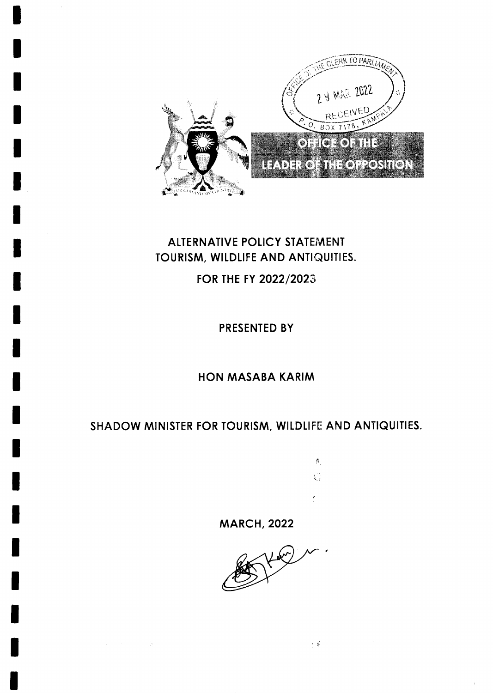

# **ALTERNATIVE POLICY STATEMENT** TOURISM, WILDLIFE AND ANTIQUITIES.

FOR THE FY 2022/2023

PRESENTED BY

## **HON MASABA KARIM**

# SHADOW MINISTER FOR TOURISM, WILDLIFE AND ANTIQUITIES.

 $\hat{\rho}_{\rm t}$ Ó

 $\pm \frac{2}{3}$ 

**MARCH, 2022** 

 $\sim 10^6$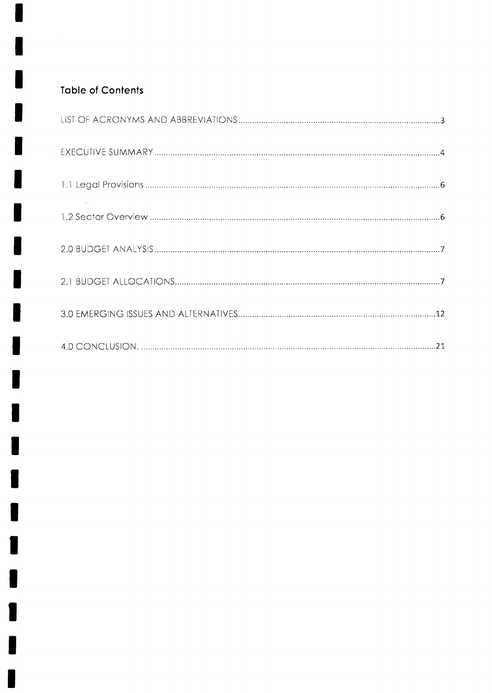## Toble of Contents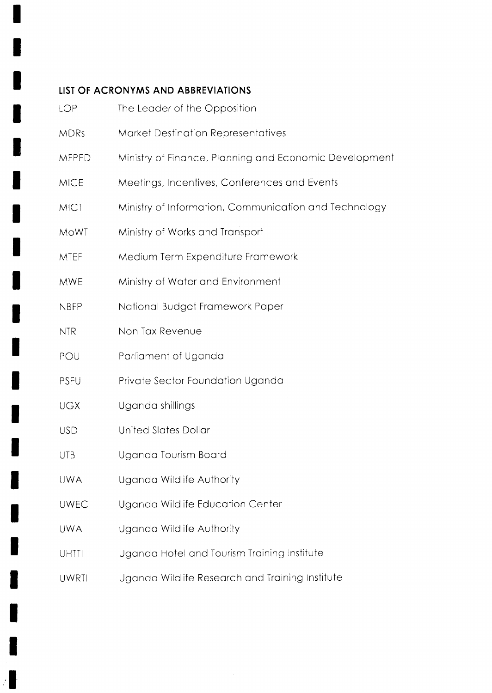#### LIST OF ACRONYMS AND ABBREVIATIONS

| LOP          | The Leader of the Opposition                           |
|--------------|--------------------------------------------------------|
| <b>MDRs</b>  | <b>Market Destination Representatives</b>              |
| <b>MFPED</b> | Ministry of Finance, Planning and Economic Development |
| <b>MICE</b>  | Meetings, Incentives, Conferences and Events           |
| <b>MICT</b>  | Ministry of Information, Communication and Technology  |
| MoWT         | Ministry of Works and Transport                        |
| <b>MTEF</b>  | Medium Term Expenditure Framework                      |
| <b>MWE</b>   | Ministry of Water and Environment                      |
| <b>NBFP</b>  | National Budget Framework Paper                        |
| <b>NTR</b>   | Non Tax Revenue                                        |
| POU          | Parliament of Uganda                                   |
| <b>PSFU</b>  | Private Sector Foundation Uganda                       |
| <b>UGX</b>   | Uganda shillings                                       |
| <b>USD</b>   | <b>United Slates Dollar</b>                            |
| <b>UTB</b>   | Uganda Tourism Board                                   |
| <b>UWA</b>   | Uganda Wildlife Authority                              |
| <b>UWEC</b>  | Uganda Wildlife Education Center                       |
| <b>UWA</b>   | Uganda Wildlife Authority                              |
| <b>UHTTI</b> | Uganda Hotel and Tourism Training Institute            |
| UWRTI        | Uganda Wildlife Research and Training Institute        |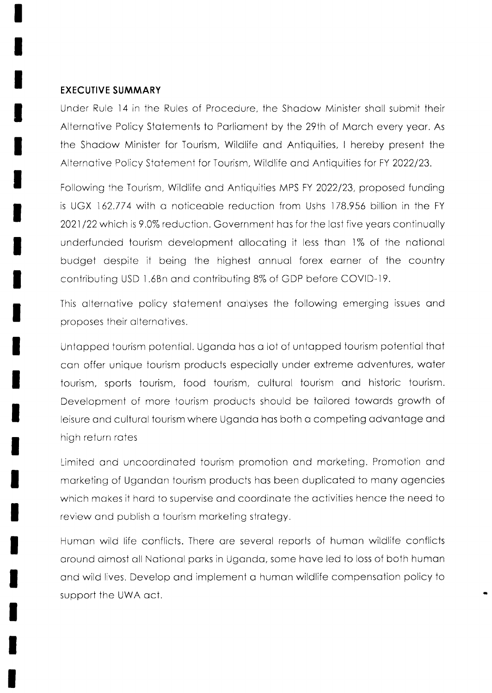#### EXECUTIVE SUMMARY

Under Rule 14 in the Rules of Procedure, the Shadow Minister shall submit their Alternative Policy Statements to Parliament by the 29th of March every year. As the Shadow Minister for Tourism, Wildlife and Antiquities, I hereby present the Alternative Policy Statement for Tourism, Wildlife and Antiquities for FY 2022/23.

Following the Tourism, Wildlife and Antiquities MPS FY 2022/23, proposed funding is UGX 162.774 wiih o noticeoble reduction from Ushs 178.956 billion in the FY 2021 122 which is 9.0% reduction. Government hos for the lost five yeors continuolly underfunded tourism development allocating it less than 1% of the national budget despite it being the highest onnuol forex eorner of the country contributing USD l.6Bn ond contribuiing B% of GDP before COVID-19.

This alternative policy statement analyses the following emerging issues and proposes their alternatives.

Untopped tourism potentiol. Ugondo hos o lot of untopped tourism potentiol thot con offer unique tourism products especiolly under extreme odventures. woter tourism, sports tourism, food tourism, cultural tourism and historic tourism. Development of more tourism products should be toilored towords growth of leisure and cultural tourism where Uganda has both a competing advantage and high return rotes

Limited ond uncoordinoted tourism promotion ond morketing. Promotion ond morketing of Ugondon tourism products hos been duplicoted to mony ogencies which makes it hard to supervise and coordinate the activities hence the need to review ond publish o tourism morketing strotegy.

Humon wild life conflicts. There ore severol reports of humon wildlife conflicts oround olmost oll Notionol porks in Ugondo. some hove led to loss of both humon ond wild lives. Develop ond implement o humon wildlife compensotion policy to support the UWA act.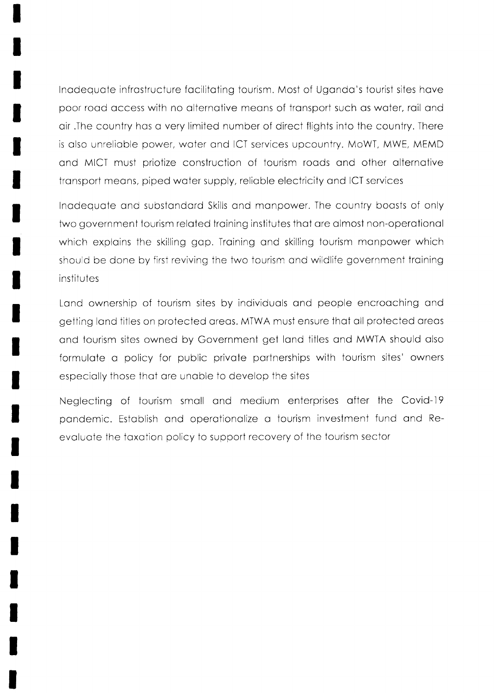lnodequote infrostructure focilitoting tourism. Most of Ugondo's tourist sites hove poor road access with no alternative means of transport such as water, rail and oir .The country hos o very limited number of direct flights into the country. There is also unreliable power, water and ICT services upcountry. MoWT, MWE, MEMD ond AAICT must priotize construction of tourism roods ond other olternotive transport means, piped water supply, reliable electricity and ICT services

Inadequate and substandard Skills and manpower. The country boasts of only two government tourism related training institutes that are almost non-operational which explains the skilling gap. Training and skilling tourism manpower which should be done by first reviving the two tourism and wildlife government training institutes

Land ownership of tourism sites by individuals and people encroaching and getting land titles on protected areas. MTWA must ensure that all protected areas and tourism sites owned by Government get land titles and MWTA should also formulote o policy for public privote portnerships with tourism sites' owners especiolly those thot ore unoble to develop the sites

Neglecting of tourism smoll ond medium enterprises ofter the Covid-19 pondemic. Estoblish ond operotionolize o tourism invesimeni fund ond Reevoluote the toxotion policy to support recovery of the tourism sector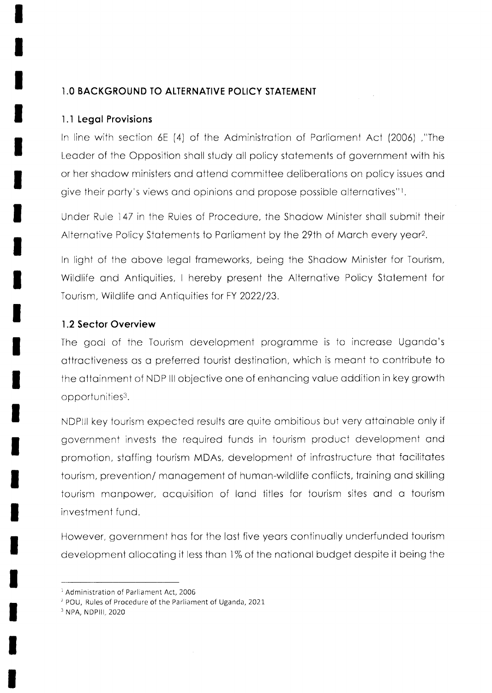#### **1.0 BACKGROUND TO ALTERNATIVE POLICY STATEMENT**

#### 1.1 Legal Provisions

In line with section 6E (4) of the Administration of Parliament Act (2006), "The Leader of the Opposition shall study all policy statements of government with his or her shadow ministers and attend committee deliberations on policy issues and give their party's views and opinions and propose possible alternatives"!

Under Rule 147 in the Rules of Procedure, the Shadow Minister shall submit their Alternative Policy Statements to Parliament by the 29th of March every year<sup>2</sup>.

In light of the above legal frameworks, being the Shadow Minister for Tourism, Wildlife and Antiquities, I hereby present the Alternative Policy Statement for Tourism, Wildlife and Antiquities for FY 2022/23.

#### 1.2 Sector Overview

The goal of the Tourism development programme is to increase Uganda's attractiveness as a preferred tourist destination, which is meant to contribute to the attainment of NDP III objective one of enhancing value addition in key growth opportunities<sup>3</sup>.

NDPIII key tourism expected results are quite ambitious but very attainable only if government invests the required funds in fourism product development and promotion, staffing tourism MDAs, development of infrastructure that facilitates tourism, prevention/management of human-wildlife conflicts, training and skilling tourism manpower, acquisition of land titles for tourism sites and a tourism investment fund.

However, government has for the last five years continually underfunded tourism development allocating it less than 1% of the national budget despite it being the

<sup>3</sup> NPA, NDPIII, 2020

<sup>&</sup>lt;sup>1</sup> Administration of Parliament Act, 2006

<sup>&</sup>lt;sup>2</sup> POU, Rules of Procedure of the Parliament of Uganda, 2021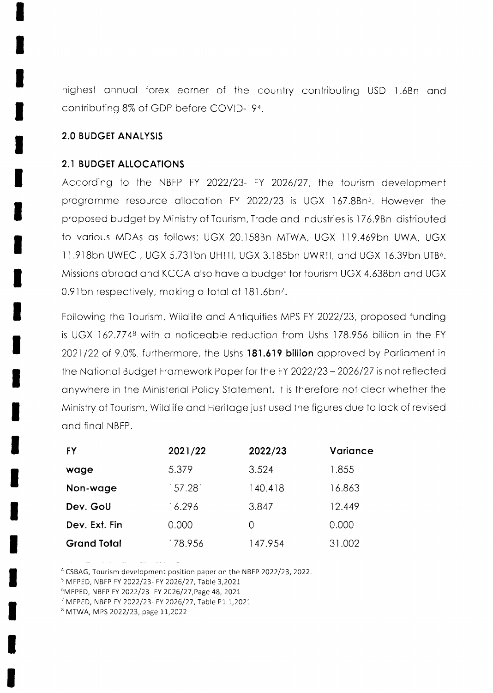highest annual forex earner of the country contributing USD 1.6Bn and contributing 8% of GDP before COVID-194.

#### **2.0 BUDGET ANALYSIS**

#### **2.1 BUDGET ALLOCATIONS**

According to the NBFP FY 2022/23- FY 2026/27, the tourism development programme resource allocation FY 2022/23 is UGX 167.8Bn<sup>5</sup>. However the proposed budget by Ministry of Tourism, Trade and Industries is 176.9Bn distributed to various MDAs as follows; UGX 20.158Bn MTWA, UGX 119.469bn UWA, UGX 11.918bn UWEC, UGX 5.731bn UHTTI, UGX 3.185bn UWRTI, and UGX 16.39bn UTB<sup>6</sup>. Missions abroad and KCCA also have a budget for tourism UGX 4.638bn and UGX 0.91 bn respectively, making a total of 181.6 bn<sup>7</sup>.

Following the Tourism, Wildlife and Antiquities MPS FY 2022/23, proposed funding is UGX 162.7748 with a noticeable reduction from Ushs 178.956 billion in the FY 2021/22 of 9.0%. furthermore, the Ushs 181.619 billion approved by Parliament in the National Budget Framework Paper for the FY 2022/23 - 2026/27 is not reflected anywhere in the Ministerial Policy Statement. It is therefore not clear whether the Ministry of Tourism, Wildlife and Heritage just used the figures due to lack of revised and final NBFP.

| FY                 | 2021/22 | 2022/23 | Variance |
|--------------------|---------|---------|----------|
| wage               | 5.379   | 3.524   | 1.855    |
| Non-wage           | 157.281 | 140.418 | 16.863   |
| Dev. GoU           | 16.296  | 3.847   | 12.449   |
| Dev. Ext. Fin.     | 0.000   | Ω       | 0.000    |
| <b>Grand Total</b> | 178.956 | 147.954 | 31.002   |

<sup>4</sup> CSBAG, Tourism development position paper on the NBFP 2022/23, 2022.

<sup>&</sup>lt;sup>5</sup> MFPED, NBFP FY 2022/23- FY 2026/27, Table 3,2021

<sup>&</sup>lt;sup>6</sup>MFPED, NBFP FY 2022/23- FY 2026/27, Page 48, 2021

<sup>&#</sup>x27; MFPED, NBFP FY 2022/23- FY 2026/27, Table P1.1,2021

<sup>&</sup>lt;sup>8</sup> MTWA, MPS 2022/23, page 11,2022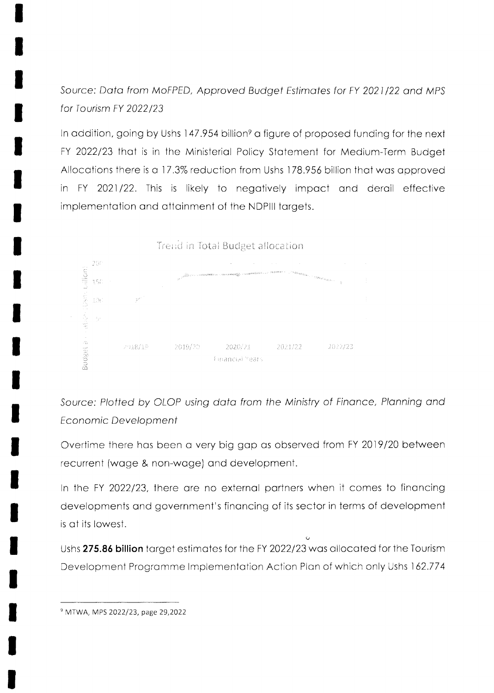Source: Data from MoFPED, Approved Budget Estimates for FY 2021/22 and MPS for Tourism FY 2022/23

In addition, going by Ushs 147.954 billion<sup>9</sup> a figure of proposed funding for the next FY 2022/23 that is in the Ministerial Policy Statement for Medium-Term Budget Allocations there is a 17.3% reduction from Ushs 178.956 billion that was approved in FY 2021/22. This is likely to negatively impact and derail effective implementation and attainment of the NDPIII targets.



Source: Plotted by OLOP using data from the Ministry of Finance, Planning and **Economic Development** 

Overtime there has been a very big gap as observed from FY 2019/20 between recurrent (wage & non-wage) and development.

In the FY 2022/23, there are no external partners when it comes to financing developments and government's financing of its sector in terms of development is at its lowest.

Ushs 275.86 billion target estimates for the FY 2022/23 was allocated for the Tourism Development Programme Implementation Action Plan of which only Ushs 162.774

<sup>&</sup>lt;sup>9</sup> MTWA, MPS 2022/23, page 29,2022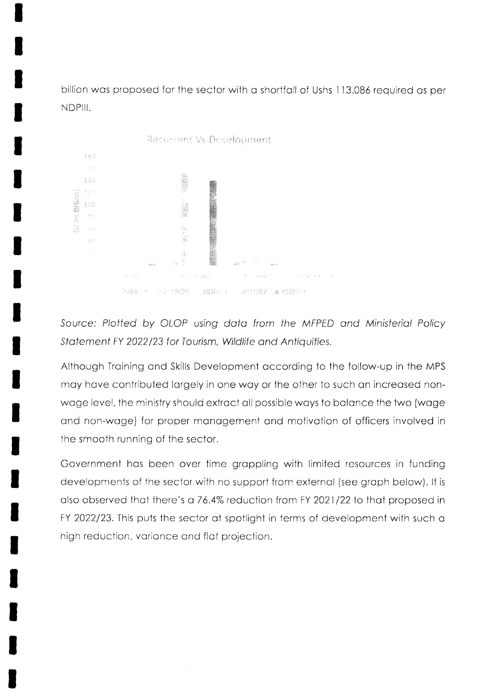billion was proposed for the sector with a shortfall of Ushs 113.086 required as per NDPIII.



Source: Plotted by OLOP using data from the MFPED and Ministerial Policy Statement FY 2022/23 for Tourism, Wildlife and Antiquities.

Although Training and Skills Development according to the follow-up in the MPS may have contributed largely in one way or the other to such an increased nonwage level, the ministry should extract all possible ways to balance the two (wage and non-wage) for proper management and motivation of officers involved in the smooth running of the sector.

Government has been over time grappling with limited resources in funding developments of the sector with no support from external (see graph below). It is also observed that there's a 76.4% reduction from FY 2021/22 to that proposed in FY 2022/23. This puts the sector at spotlight in terms of development with such a high reduction, variance and flat projection.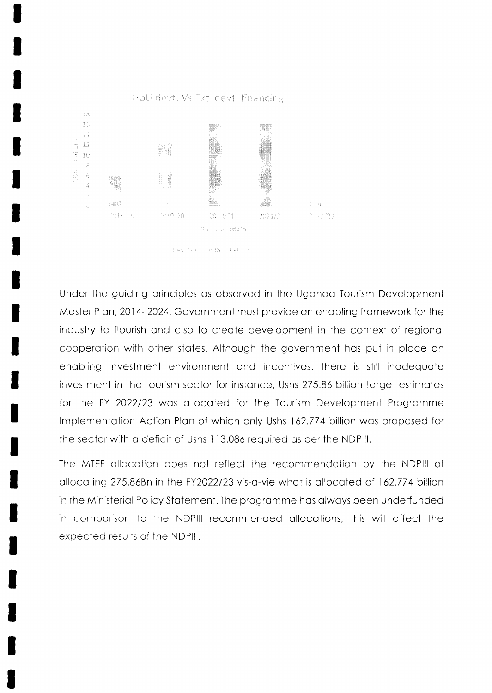

Pey (a) and an Day Tixt, Fir

Under the guiding principles as observed in the Uganda Tourism Development Master Plan, 2014-2024, Government must provide an enabling framework for the industry to flourish and also to create development in the context of regional cooperation with other states. Although the government has put in place an enabling investment environment and incentives, there is still inadequate investment in the tourism sector for instance, Ushs 275.86 billion target estimates for the FY 2022/23 was allocated for the Tourism Development Programme Implementation Action Plan of which only Ushs 162.774 billion was proposed for the sector with a deficit of Ushs 113.086 required as per the NDPIII.

The MTEF allocation does not reflect the recommendation by the NDPIII of allocating 275.86Bn in the FY2022/23 vis-a-vie what is allocated of 162.774 billion in the Ministerial Policy Statement. The programme has always been underfunded in comparison to the NDPIII recommended allocations, this will affect the expected results of the NDPIII.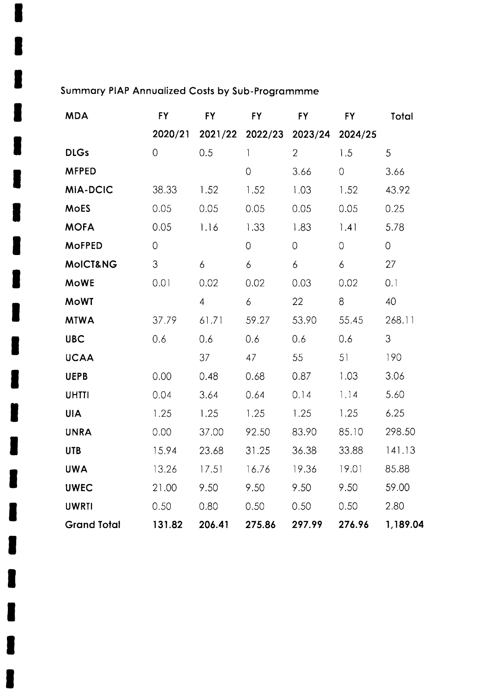# Summary PIAP Annualized Costs by Sub-Programmme

I

I

| <b>MDA</b>         | <b>FY</b>      | FY.            | <b>FY</b>      | <b>FY</b>                       | <b>FY</b>      | Total          |
|--------------------|----------------|----------------|----------------|---------------------------------|----------------|----------------|
|                    | 2020/21        |                |                | 2021/22 2022/23 2023/24 2024/25 |                |                |
| <b>DLGs</b>        | $\overline{0}$ | 0.5            | $\mathbf{1}$   | $\overline{2}$                  | 1.5            | 5 <sub>5</sub> |
| <b>MFPED</b>       |                |                | $\overline{O}$ | 3.66                            | $\overline{0}$ | 3.66           |
| MIA-DCIC           | 38.33          | 1.52           | 1.52           | 1.03                            | 1.52           | 43.92          |
| <b>MoES</b>        | 0.05           | 0.05           | 0.05           | 0.05                            | 0.05           | 0.25           |
| <b>MOFA</b>        | 0.05           | 1.16           | 1.33           | 1.83                            | 1.41           | 5.78           |
| <b>MoFPED</b>      | $\overline{O}$ |                | $\circ$        | 0                               | $\overline{O}$ | $\overline{O}$ |
| MoICT&NG           | 3              | 6              | 6              | 6                               | 6              | 27             |
| <b>MoWE</b>        | 0.01           | 0.02           | 0.02           | 0.03                            | 0.02           | 0.1            |
| <b>MoWT</b>        |                | $\overline{4}$ | $\overline{6}$ | 22                              | 8              | 40             |
| <b>MTWA</b>        | 37.79          | 61.71          | 59.27          | 53.90                           | 55.45          | 268.11         |
| <b>UBC</b>         | 0.6            | 0.6            | 0.6            | 0.6                             | 0.6            | 3              |
| <b>UCAA</b>        |                | 37             | 47             | 55                              | 51             | 190            |
| <b>UEPB</b>        | 0.00           | 0.48           | 0.68           | 0.87                            | 1.03           | 3.06           |
| <b>UHTTI</b>       | 0.04           | 3.64           | 0.64           | 0.14                            | 1.14           | 5.60           |
| <b>UIA</b>         | 1.25           | 1.25           | 1.25           | 1.25                            | 1.25           | 6.25           |
| <b>UNRA</b>        | 0.00           | 37.00          | 92.50          | 83.90                           | 85.10          | 298.50         |
| <b>UTB</b>         | 15.94          | 23.68          | 31.25          | 36.38                           | 33.88          | 141.13         |
| <b>UWA</b>         | 13.26          | 17.51          | 16.76          | 19.36                           | 19.01          | 85.88          |
| <b>UWEC</b>        | 21.00          | 9.50           | 9.50           | 9.50                            | 9.50           | 59.00          |
| <b>UWRTI</b>       | 0.50           | 0.80           | 0.50           | 0.50                            | 0.50           | 2.80           |
| <b>Grand Total</b> | 131.82         | 206.41         | 275.86         | 297.99                          | 276.96         | 1,189.04       |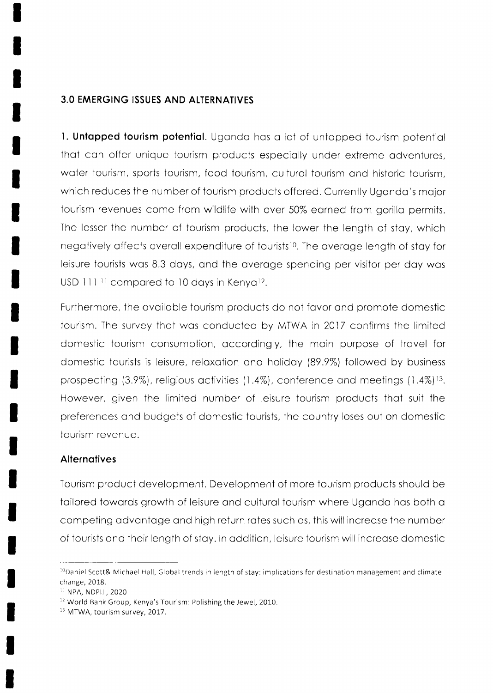#### **3.0 EMERGING ISSUES AND ALTERNATIVES**

1. Untapped tourism potential. Uganda has a lot of untapped tourism potential that can offer unique tourism products especially under extreme adventures. water tourism, sports tourism, food tourism, cultural tourism and historic tourism, which reduces the number of tourism products offered. Currently Uganda's major tourism revenues come from wildlife with over 50% earned from gorilla permits. The lesser the number of tourism products, the lower the length of stay, which negatively affects overall expenditure of tourists<sup>10</sup>. The average length of stay for leisure tourists was 8.3 days, and the average spending per visitor per day was USD 111<sup>11</sup> compared to 10 days in Kenya<sup>12</sup>.

Furthermore, the available tourism products do not favor and promote domestic tourism. The survey that was conducted by MTWA in 2017 confirms the limited domestic tourism consumption, accordingly, the main purpose of travel for domestic tourists is leisure, relaxation and holiday (89.9%) followed by business prospecting (3.9%), religious activities (1.4%), conference and meetings (1.4%)<sup>13</sup>. However, given the limited number of leisure tourism products that suit the preferences and budgets of domestic tourists, the country loses out on domestic tourism revenue.

#### **Alternatives**

Tourism product development. Development of more tourism products should be tailored towards growth of leisure and cultural tourism where Uganda has both a competing advantage and high return rates such as, this will increase the number of tourists and their length of stay. In addition, leisure tourism will increase domestic

 $^{10}$ Daniel Scott& Michael Hall, Global trends in length of stay: implications for destination management and climate change, 2018.

<sup>&</sup>lt;sup>11</sup> NPA, NDPIII, 2020

<sup>&</sup>lt;sup>12</sup> World Bank Group, Kenya's Tourism: Polishing the Jewel, 2010.

<sup>&</sup>lt;sup>13</sup> MTWA, tourism survey, 2017.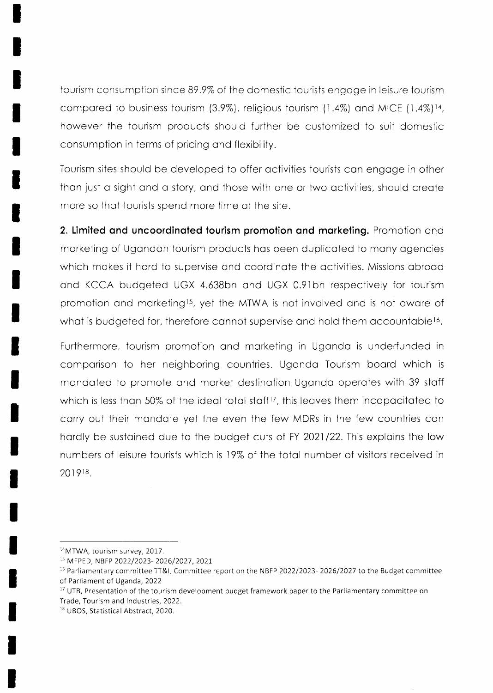tourism consumption since 89.9% of the domestic iourists engoge in leisure tourism compared to business tourism  $(3.9\%)$ , religious tourism  $(1.4\%)$  and MICE  $(1.4\%)$ <sup>14</sup>, however the tourism products should further be customized to suit domestic consumpiion in terms of pricing ond flexibility.

Tourism sites should be developed to offer octivities tourists con engoge in other than just a sight and a story, and those with one or two activities, should create more so thot tourists spend more time of the site.

2. Limited and uncoordinated tourism promotion and marketing. Promotion and morketing of Ugondon tourism products hos been duplicoted to mony ogencies which makes it hard to supervise and coordinate the activities. Missions abroad ond KCCA budgeted UGX 4.638bn ond UGX 0.9lbn respectively for tourism promotion and marketing<sup>15</sup>, yet the MTWA is not involved and is not aware of what is budgeted for, therefore cannot supervise and hold them accountable<sup>16</sup>.

Furthermore, tourism promotion ond morketing in Ugondo is underfunded in comporison to her neighboring countries. Ugondo Tourism boord which is mondoted to promote ond morket destinotion Ugondo operotes with 39 stoff which is less than 50% of the ideal total staff<sup>17</sup>, this leaves them incapacitated to corry out their mondote yet the even the few A/DRs in the few couniries con hardly be sustained due to the budget cuts of FY 2021/22. This explains the low numbers of leisure tourists which is 19% of the totol number of visitors received in 201918.

<sup>14</sup>MTWA, tourism survey, 2017.

<sup>&#</sup>x27;s MFPED, NBF? 2022/2023- 2026/2021,2021.

<sup>&</sup>lt;sup>16</sup> Parliamentary committee TT&I, Committee report on the NBFP 2022/2023- 2026/2027 to the Budget committee of Parliament of Uganda,2022

 $17$  UTB, Presentation of the tourism development budget framework paper to the Parliamentary committee on Trade, Tourism and Industries, 2022.

<sup>&</sup>lt;sup>18</sup> UBOS, Statistical Abstract, 2020.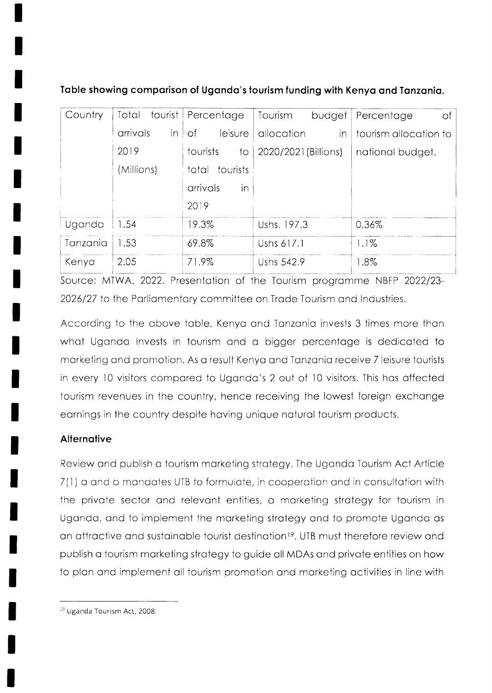| Country  | Total          | tourist Percentage         | Tourism<br>budget    | Percentage<br>-of     |
|----------|----------------|----------------------------|----------------------|-----------------------|
|          | arrivals<br>in | leisure<br>-of             | allocation<br>in     | tourism allocation to |
|          | 2019           | tourists<br>$\overline{1}$ | 2020/2021 (Billions) | national budget.      |
|          | (Millions)     | total tourists             |                      |                       |
|          |                | arrivals<br>in             |                      |                       |
|          |                | 2019                       |                      |                       |
| Uganda   | 1.54           | 9.3%                       | Ushs. 197.3          | 0.36%                 |
| Tanzania | 1.53           | 69.8%                      | Ushs 617.1           | 1.1%                  |
| Kenya    | 2.05           | 71.9%                      | Ushs 542.9           | $1.8\%$               |

Table showing comparison of Uganda's tourism funding with Kenya and Tanzania.

Source: MTWA, 2022. Presentation of the Tourism programme NBFP 2022/23-2026/27 to the Parliamentary committee on Trade Tourism and Industries.

According to the above table, Kenya and Tanzania invests 3 times more than what Uganda Invests in tourism and a bigger percentage is dedicated to marketing and promotion. As a result Kenya and Tanzania receive 7 leisure tourists in every 10 visitors compared to Uganda's 2 out of 10 visitors. This has affected fourism revenues in the country, hence receiving the lowest foreign exchange earnings in the country despite having unique natural tourism products.

## Alternative

Review and publish a tourism marketing strategy. The Uganda Tourism Act Article 7(1) a and b mandates UTB to formulate, in cooperation and in consultation with the private sector and relevant entities, a marketing strategy for tourism in Uganda, and to implement the marketing strategy and to promote Uganda as an attractive and sustainable tourist destination<sup>19</sup>. UTB must therefore review and publish a tourism marketing strategy to guide all MDAs and private entities on how to plan and implement all tourism promotion and marketing activities in line with

<sup>&</sup>lt;sup>19</sup> Uganda Tourism Act, 2008.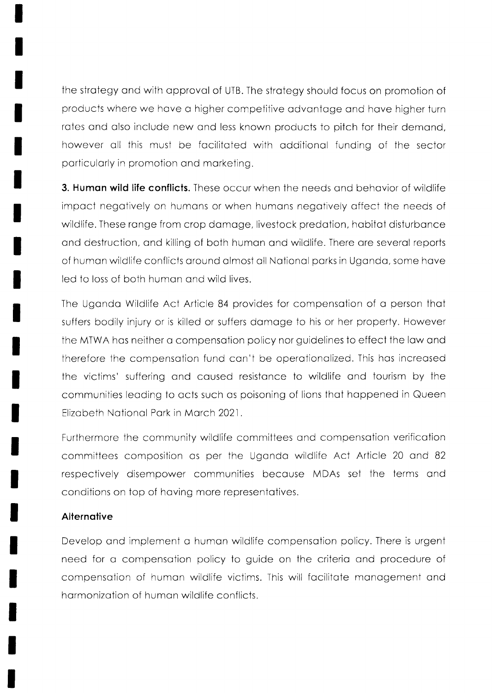the strategy and with approval of UTB. The strategy should focus on promotion of products where we hove o higher competitive odvontoge ond hove higher turn rates and also include new and less known products to pitch for their demand, however oll this must be focilitoted with odditionol funding of the sector porticulorly in promotion ond morketing.

**3. Human wild life conflicts.** These occur when the needs and behavior of wildlife impoct negotively on humons or when humons negotiveiy offect the needs of wildlife. These range from crop damage, livestock predation, habitat disturbance ond destruction, ond killing of both humon ond wildlife. There ore severol reports of human wildlife conflicts around almost all National parks in Uganda, some have led to loss of both humon ond wild lives.

The Uganda Wildlife Act Article 84 provides for compensation of a person that suffers bodily injury or is killed or suffers domoge to his or her property. However the MTWA hos neither o compensotion policy nor guidelines io effect the low ond therefore the compensotion fund con't be operotionolized. This hos increosed the victims' suffering and caused resistance to wildlife and tourism by the communities leading to acts such as poisoning of lions that happened in Queen Elizabeth National Park in March 2021.

Furthermore the community wildlife committees ond compensotion verificotion committees composition cs per the Ugondo wildlife Aci Article 20 ond <sup>82</sup> respectively disempower communities because MDAs set the terms and conditions on top of hoving more representotives.

#### **Alternative**

Develop ond implement o humon wildlife compensotion policy. There is urgent need for a compensation policy to guide on the criteria and procedure of compensotion of humon wildlife victims. This will focilitote monogement ond hormonizotion of humon wildlife conflicts.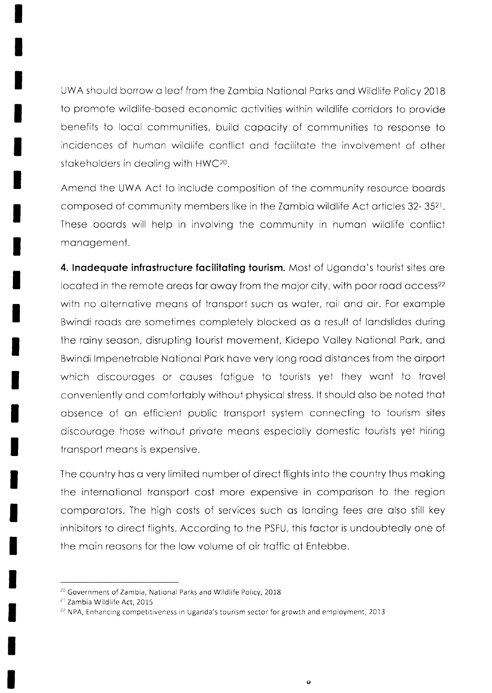UWA should borrow o leof from the Zombio Notionol Porks ond Wildlife Policy 20lB to promote wildlife-based economic activities within wildlife corridors to provide benefits to locol communities, build copocity of communities to response to incidences of humon wildlife conflict ond focilitote the involvement of other stokeholders in deoling with HWC?o.

Amend the UWA Act to include composition of the community resource boords cornposed of community members like in the Zombio wildlife Act orticles 32- 352r. These boords will help in involving the community in humon wildlife conflict management.

4. Inadequate infrastructure facilitating tourism. Most of Uganda's tourist sites are located in the remote areas far away from the major city, with poor road access<sup>22</sup> with no alternative means of transport such as water, rail and air. For example Bwindi roads are sometimes completely blocked as a result of landslides during the rainy season, disrupting tourist movement, Kidepo Valley National Park, and Bwindi lmpenetroble Notionol Pork hove very long rood distonces from the oirport which discourages or causes fatigue to tourists yet they want to travel conveniently ond comfortobly without physicol stress. lt should olso be noted thot absence of an efficient public transport system connecting to tourism sites discourage those without private means especially domestic tourists yet hiring transport means is expensive.

The country hos o very limited number of direct flights into the country thus moking the internotionol tronsport cost more expensive in comporison to the region comparotors. The high costs of services such os londing fees ore olso still key inhibitors to direct flights. According to the PSFU, this foctor is undoubtedly one of the main reasons for the low volume of air traffic at Entebbe.

<sup>&</sup>lt;sup>20</sup> Government of Zambia, National Parks and Wildlife Policy, 2018

 $21$  Zambia Wildlife Act, 2015

 $<sup>22</sup>$  NPA, Enhancing competitiveness in Uganda's tourism sector for growth and employment, 2013</sup>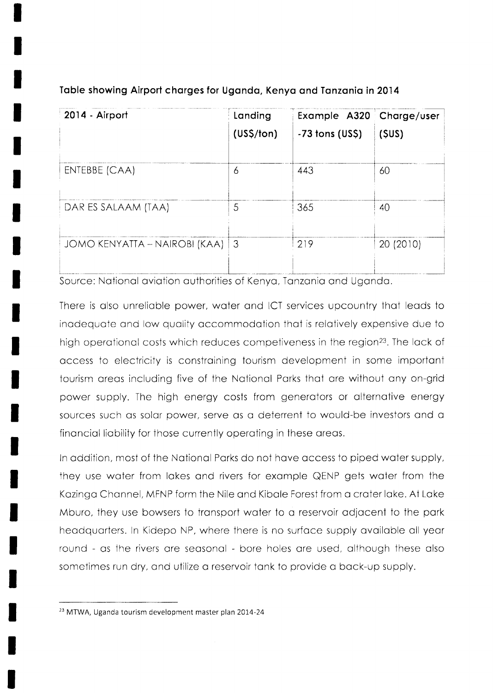| 2014 - Airport                | Landing                | Example A320 Charge/user |           |
|-------------------------------|------------------------|--------------------------|-----------|
|                               | (US <sub>5</sub> /ton) | $-73$ tons (US\$)        | (SUS)     |
| ENTEBBE (CAA)                 | 6                      | 443                      | 60        |
| DAR ES SALAAM (TAA)           | 5                      | 365                      | 40        |
| JOMO KENYATTA – NAIROBI (KAA) | $\perp$ 3              | 219                      | 20 (2010) |

#### Table showing Airport charges for Uganda, Kenya and Tanzania in 2014

Source: National aviation authorities of Kenya, Tanzania and Uganda.

There is also unreliable power, water and ICT services upcountry that leads to inadequate and low quality accommodation that is relatively expensive due to high operational costs which reduces competiveness in the region<sup>23</sup>. The lack of occess to electricity is constroining tourism development in some importont tourism creos including five of ihe Notionol Porks thot ore wiihout ony on-grid power supply. The high energy costs from generotors or oliernotive energy sources such os solor power, serve os o deterrent to would-be investors ond o finonciol liobility for those currently operoting in these oreos.

ln oddition, most of the Notionol Porks do not hove occess to piped woter supply, they use woter from lokes ond rivers for exomple QENP gets woter from the Kazinga Channel, MFNP form the Nile and Kibale Forest from a crater lake. At Lake Mburo, they use bowsers to transport water to a reservoir adjacent to the park heodquorters. ln Kidepo NP, where there is no surfoce supply ovoiloble oll yeor round - os the rivers ore seosonol - bore holes ore used, olthough these olso sometimes run dry, and utilize a reservoir tank to provide a back-up supply.

 $23$  MTWA, Uganda tourism development master plan 2014-24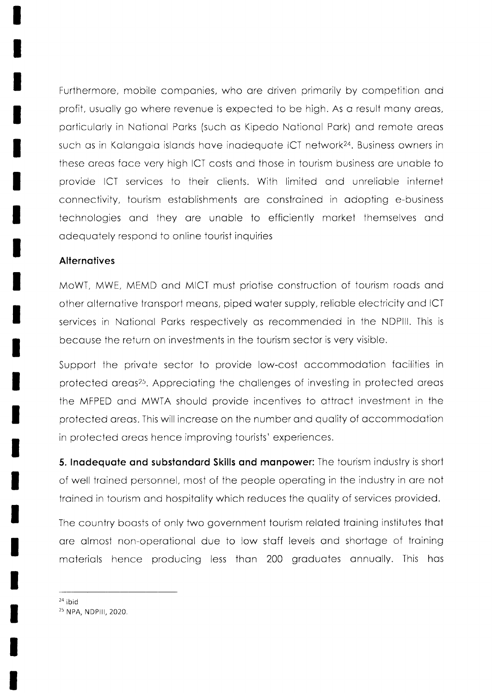Furthermore, mobile companies, who are driven primarily by competition and profit, usually go where revenue is expected to be high. As a result many areas, particularly in National Parks (such as Kipedo National Park) and remote areas such as in Kalangala islands have inadequate ICT network<sup>24</sup>. Business owners in these areas face very high ICT costs and those in tourism business are unable to provide ICT services to their clients. With limited and unreliable internet connectivity, tourism establishments are constrained in adopting e-business technologies and they are unable to efficiently market themselves and adequately respond to online tourist inquiries

#### **Alternatives**

MoWT, MWE, MEMD and MICT must priotise construction of tourism roads and other alternative transport means, piped water supply, reliable electricity and ICT services in National Parks respectively as recommended in the NDPIII. This is because the return on investments in the tourism sector is very visible.

Support the private sector to provide low-cost accommodation facilities in protected areas<sup>25</sup>. Appreciating the challenges of investing in protected areas the MFPED and MWTA should provide incentives to attract investment in the protected areas. This will increase on the number and quality of accommodation in protected areas hence improving tourists' experiences.

5. Inadequate and substandard Skills and manpower: The tourism industry is short of well trained personnel, most of the people operating in the industry in are not trained in tourism and hospitality which reduces the quality of services provided.

The country boasts of only two government tourism related training institutes that are almost non-operational due to low staff levels and shortage of training materials hence producing less than 200 graduates annually. This has

 $24$  ibid

<sup>&</sup>lt;sup>25</sup> NPA, NDPIII, 2020.